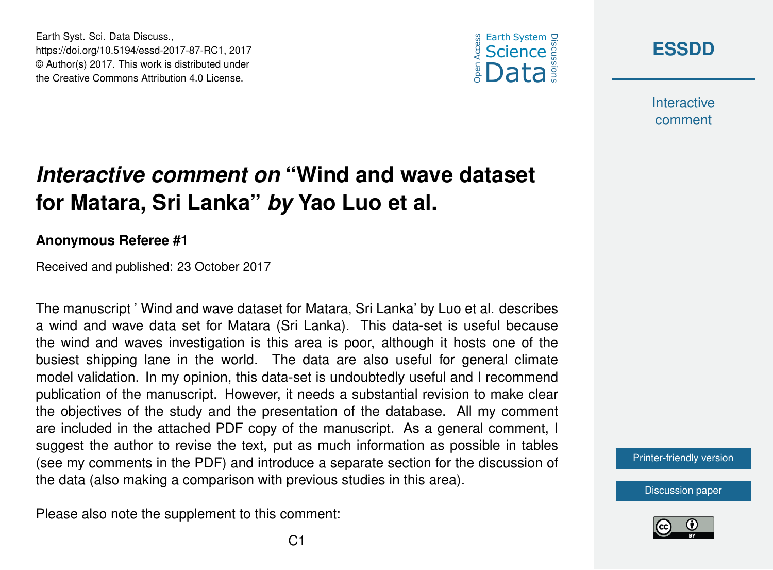



**Interactive** comment

## *Interactive comment on* **"Wind and wave dataset for Matara, Sri Lanka"** *by* **Yao Luo et al.**

## **Anonymous Referee #1**

Earth Syst. Sci. Data Discuss.,

https://doi.org/10.5194/essd-2017-87-RC1, 2017 © Author(s) 2017. This work is distributed under the Creative Commons Attribution 4.0 License.

Received and published: 23 October 2017

The manuscript ' Wind and wave dataset for Matara, Sri Lanka' by Luo et al. describes a wind and wave data set for Matara (Sri Lanka). This data-set is useful because the wind and waves investigation is this area is poor, although it hosts one of the busiest shipping lane in the world. The data are also useful for general climate model validation. In my opinion, this data-set is undoubtedly useful and I recommend publication of the manuscript. However, it needs a substantial revision to make clear the objectives of the study and the presentation of the database. All my comment are included in the attached PDF copy of the manuscript. As a general comment, I suggest the author to revise the text, put as much information as possible in tables (see my comments in the PDF) and introduce a separate section for the discussion of the data (also making a comparison with previous studies in this area).

Please also note the supplement to this comment:

[Printer-friendly version](https://www.earth-syst-sci-data-discuss.net/essd-2017-87/essd-2017-87-RC1-print.pdf)

[Discussion paper](https://www.earth-syst-sci-data-discuss.net/essd-2017-87)